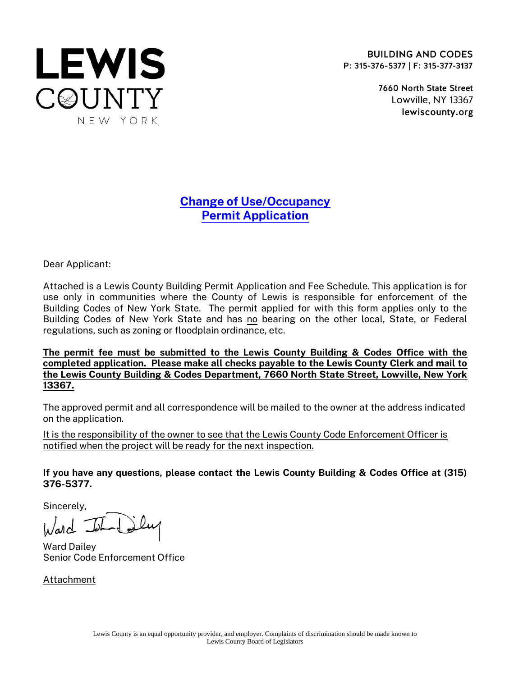

**BUILDING AND CODES** P: 315-376-5377 | F: 315-377-3137

> 7660 North State Street Lowville, NY 13367 lewiscounty.org

## Change of Use/Occupancy Permit Application

Dear Applicant:

Attached is a Lewis County Building Permit Application and Fee Schedule. This application is for use only in communities where the County of Lewis is responsible for enforcement of the Building Codes of New York State. The permit applied for with this form applies only to the Building Codes of New York State and has no bearing on the other local, State, or Federal regulations, such as zoning or floodplain ordinance, etc.

The permit fee must be submitted to the Lewis County Building & Codes Office with the completed application. Please make all checks payable to the Lewis County Clerk and mail to the Lewis County Building & Codes Department, 7660 North State Street, Lowville, New York 13367.

The approved permit and all correspondence will be mailed to the owner at the address indicated on the application.

It is the responsibility of the owner to see that the Lewis County Code Enforcement Officer is notified when the project will be ready for the next inspection.

If you have any questions, please contact the Lewis County Building & Codes Office at (315) 376-5377.

Sincerely,

 $l_{\lambda}/ad$  -

Ward Dailey Senior Code Enforcement Office

Attachment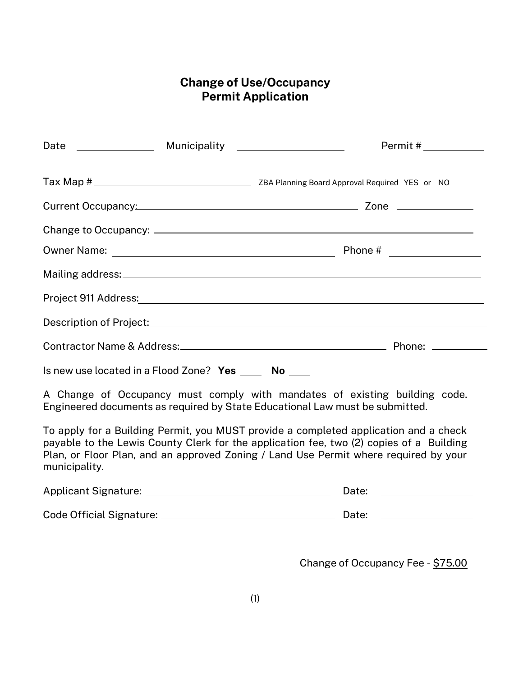### Change of Use/Occupancy Permit Application

|                                                       |  | Permit #___________ |  |  |
|-------------------------------------------------------|--|---------------------|--|--|
|                                                       |  |                     |  |  |
|                                                       |  |                     |  |  |
|                                                       |  |                     |  |  |
|                                                       |  |                     |  |  |
|                                                       |  |                     |  |  |
|                                                       |  |                     |  |  |
|                                                       |  |                     |  |  |
|                                                       |  |                     |  |  |
| Is new use located in a Flood Zone? Yes _____ No ____ |  |                     |  |  |

A Change of Occupancy must comply with mandates of existing building code. Engineered documents as required by State Educational Law must be submitted.

To apply for a Building Permit, you MUST provide a completed application and a check payable to the Lewis County Clerk for the application fee, two (2) copies of a Building Plan, or Floor Plan, and an approved Zoning / Land Use Permit where required by your municipality.

| <b>Applicant Signature:</b> | Date: |  |
|-----------------------------|-------|--|
|                             |       |  |
| Code Official Signature:    | Date: |  |

Change of Occupancy Fee - \$75.00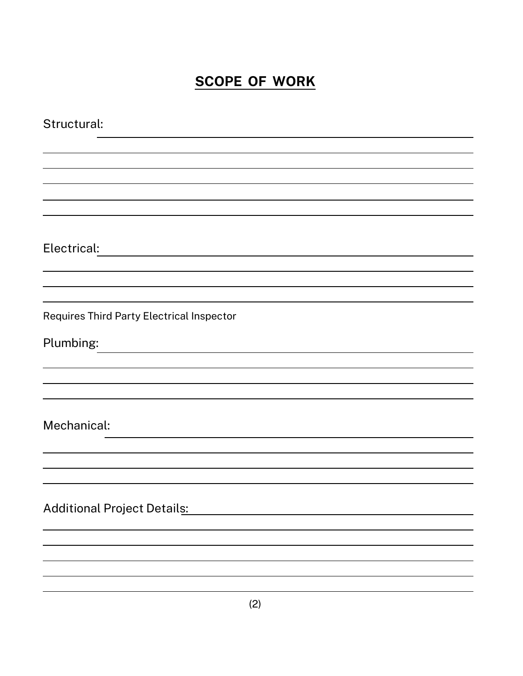# **SCOPE OF WORK**

| Structural:                               |
|-------------------------------------------|
|                                           |
|                                           |
|                                           |
|                                           |
|                                           |
| Electrical:                               |
|                                           |
|                                           |
| Requires Third Party Electrical Inspector |
| Plumbing:                                 |
|                                           |
|                                           |
|                                           |
| Mechanical:                               |
|                                           |
|                                           |
|                                           |
| <b>Additional Project Details:</b>        |
|                                           |
|                                           |
|                                           |
|                                           |